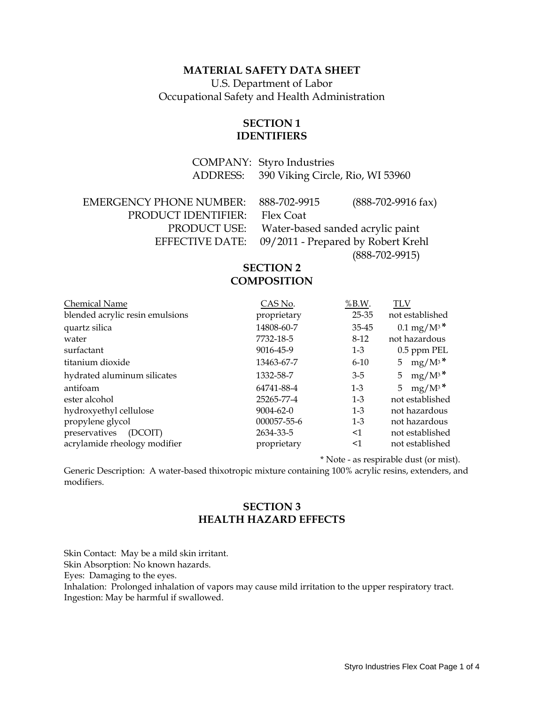#### **MATERIAL SAFETY DATA SHEET**

U.S. Department of Labor Occupational Safety and Health Administration

### **SECTION 1 IDENTIFIERS**

 COMPANY: Styro Industries ADDRESS: 390 Viking Circle, Rio, WI 53960

| <b>EMERGENCY PHONE NUMBER:</b> | 888-702-9915                                       | $(888-702-9916 \text{ fax})$ |
|--------------------------------|----------------------------------------------------|------------------------------|
| PRODUCT IDENTIFIER:            | Flex Coat                                          |                              |
| PRODUCT USE:                   | Water-based sanded acrylic paint                   |                              |
|                                | EFFECTIVE DATE: 09/2011 - Prepared by Robert Krehl |                              |
|                                |                                                    | $(888-702-9915)$             |

#### **SECTION 2 COMPOSITION**

| <b>Chemical Name</b>            | CAS No.         | $%$ B.W. | TLV                     |
|---------------------------------|-----------------|----------|-------------------------|
| blended acrylic resin emulsions | proprietary     | 25-35    | not established         |
| quartz silica                   | 14808-60-7      | 35-45    | $0.1 \text{ mg/M}^{3*}$ |
| water                           | 7732-18-5       | $8-12$   | not hazardous           |
| surfactant                      | 9016-45-9       | $1-3$    | 0.5 ppm PEL             |
| titanium dioxide                | 13463-67-7      | $6 - 10$ | $mg/M^3$ *<br>5         |
| hydrated aluminum silicates     | 1332-58-7       | $3 - 5$  | $mg/M^3$ *<br>5         |
| antifoam                        | 64741-88-4      | $1 - 3$  | $mg/M^3$ *<br>5         |
| ester alcohol                   | 25265-77-4      | $1-3$    | not established         |
| hydroxyethyl cellulose          | $9004 - 62 - 0$ | $1-3$    | not hazardous           |
| propylene glycol                | 000057-55-6     | $1 - 3$  | not hazardous           |
| preservatives<br>(DCOIT)        | 2634-33-5       | $<$ 1    | not established         |
| acrylamide rheology modifier    | proprietary     | $\leq$ 1 | not established         |

\* Note - as respirable dust (or mist).

Generic Description: A water-based thixotropic mixture containing 100% acrylic resins, extenders, and modifiers.

# **SECTION 3 HEALTH HAZARD EFFECTS**

Skin Contact: May be a mild skin irritant. Skin Absorption: No known hazards. Eyes: Damaging to the eyes. Inhalation: Prolonged inhalation of vapors may cause mild irritation to the upper respiratory tract. Ingestion: May be harmful if swallowed.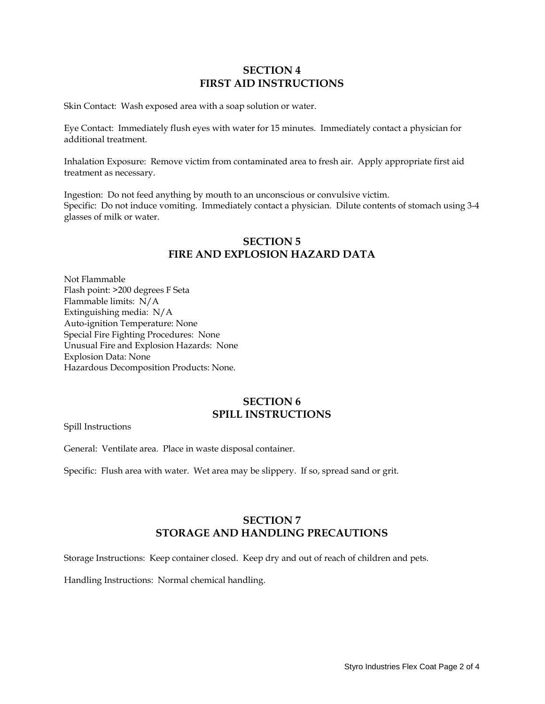## **SECTION 4 FIRST AID INSTRUCTIONS**

Skin Contact: Wash exposed area with a soap solution or water.

Eye Contact: Immediately flush eyes with water for 15 minutes. Immediately contact a physician for additional treatment.

Inhalation Exposure: Remove victim from contaminated area to fresh air. Apply appropriate first aid treatment as necessary.

Ingestion: Do not feed anything by mouth to an unconscious or convulsive victim. Specific: Do not induce vomiting. Immediately contact a physician. Dilute contents of stomach using 3-4 glasses of milk or water.

### **SECTION 5 FIRE AND EXPLOSION HAZARD DATA**

Not Flammable Flash point: >200 degrees F Seta Flammable limits: N/A Extinguishing media: N/A Auto-ignition Temperature: None Special Fire Fighting Procedures: None Unusual Fire and Explosion Hazards: None Explosion Data: None Hazardous Decomposition Products: None.

#### **SECTION 6 SPILL INSTRUCTIONS**

Spill Instructions

General: Ventilate area. Place in waste disposal container.

Specific: Flush area with water. Wet area may be slippery. If so, spread sand or grit.

## **SECTION 7 STORAGE AND HANDLING PRECAUTIONS**

Storage Instructions: Keep container closed. Keep dry and out of reach of children and pets.

Handling Instructions: Normal chemical handling.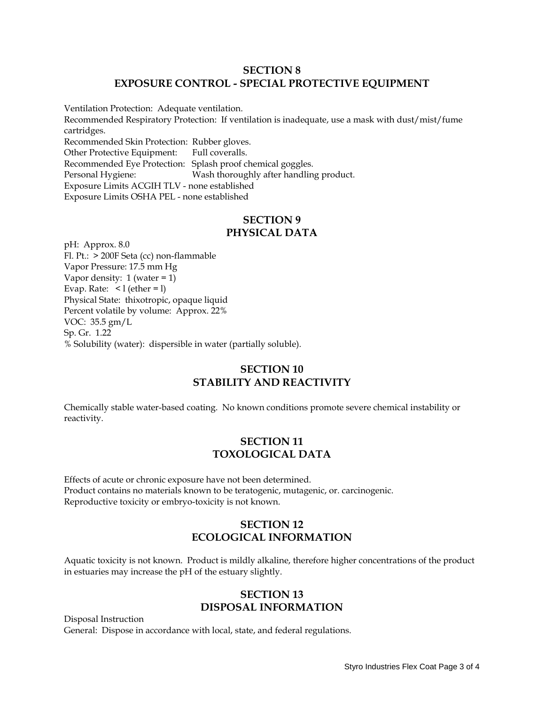### **SECTION 8 EXPOSURE CONTROL - SPECIAL PROTECTIVE EQUIPMENT**

Ventilation Protection: Adequate ventilation. Recommended Respiratory Protection: If ventilation is inadequate, use a mask with dust/mist/fume cartridges. Recommended Skin Protection: Rubber gloves. Other Protective Equipment: Full coveralls. Recommended Eye Protection: Splash proof chemical goggles. Personal Hygiene: Wash thoroughly after handling product. Exposure Limits ACGIH TLV - none established Exposure Limits OSHA PEL - none established

#### **SECTION 9 PHYSICAL DATA**

pH: Approx. 8.0 Fl. Pt.: > 200F Seta (cc) non-flammable Vapor Pressure: 17.5 mm Hg Vapor density: 1 (water = 1) Evap. Rate:  $\leq 1$  (ether = 1) Physical State: thixotropic, opaque liquid Percent volatile by volume: Approx. 22% VOC: 35.5 gm/L Sp. Gr. 1.22 % Solubility (water): dispersible in water (partially soluble).

## **SECTION 10 STABILITY AND REACTIVITY**

Chemically stable water-based coating. No known conditions promote severe chemical instability or reactivity.

### **SECTION 11 TOXOLOGICAL DATA**

Effects of acute or chronic exposure have not been determined. Product contains no materials known to be teratogenic, mutagenic, or. carcinogenic. Reproductive toxicity or embryo-toxicity is not known.

## **SECTION 12 ECOLOGICAL INFORMATION**

Aquatic toxicity is not known. Product is mildly alkaline, therefore higher concentrations of the product in estuaries may increase the pH of the estuary slightly.

## **SECTION 13 DISPOSAL INFORMATION**

Disposal Instruction General: Dispose in accordance with local, state, and federal regulations.